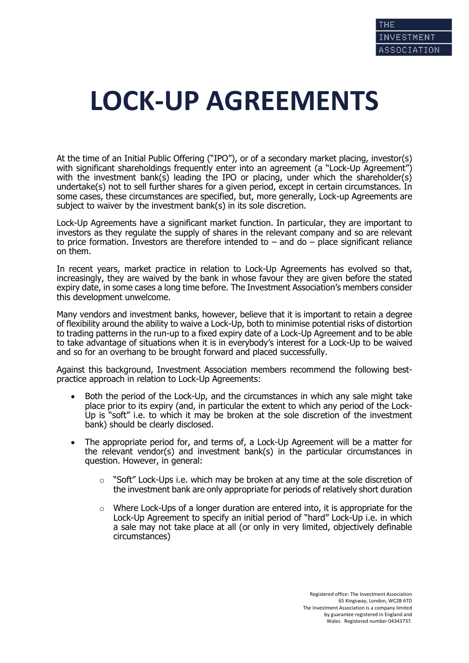## **LOCK-UP AGREEMENTS**

At the time of an Initial Public Offering ("IPO"), or of a secondary market placing, investor(s) with significant shareholdings frequently enter into an agreement (a "Lock-Up Agreement") with the investment bank(s) leading the IPO or placing, under which the shareholder(s) undertake(s) not to sell further shares for a given period, except in certain circumstances. In some cases, these circumstances are specified, but, more generally, Lock-up Agreements are subject to waiver by the investment bank(s) in its sole discretion.

Lock-Up Agreements have a significant market function. In particular, they are important to investors as they regulate the supply of shares in the relevant company and so are relevant to price formation. Investors are therefore intended to  $-$  and do  $-$  place significant reliance on them.

In recent years, market practice in relation to Lock-Up Agreements has evolved so that, increasingly, they are waived by the bank in whose favour they are given before the stated expiry date, in some cases a long time before. The Investment Association's members consider this development unwelcome.

Many vendors and investment banks, however, believe that it is important to retain a degree of flexibility around the ability to waive a Lock-Up, both to minimise potential risks of distortion to trading patterns in the run-up to a fixed expiry date of a Lock-Up Agreement and to be able to take advantage of situations when it is in everybody's interest for a Lock-Up to be waived and so for an overhang to be brought forward and placed successfully.

Against this background, Investment Association members recommend the following bestpractice approach in relation to Lock-Up Agreements:

- Both the period of the Lock-Up, and the circumstances in which any sale might take place prior to its expiry (and, in particular the extent to which any period of the Lock-Up is "soft" i.e. to which it may be broken at the sole discretion of the investment bank) should be clearly disclosed.
- The appropriate period for, and terms of, a Lock-Up Agreement will be a matter for the relevant vendor(s) and investment bank(s) in the particular circumstances in question. However, in general:
	- $\circ$  "Soft" Lock-Ups i.e. which may be broken at any time at the sole discretion of the investment bank are only appropriate for periods of relatively short duration
	- $\circ$  Where Lock-Ups of a longer duration are entered into, it is appropriate for the Lock-Up Agreement to specify an initial period of "hard" Lock-Up i.e. in which a sale may not take place at all (or only in very limited, objectively definable circumstances)